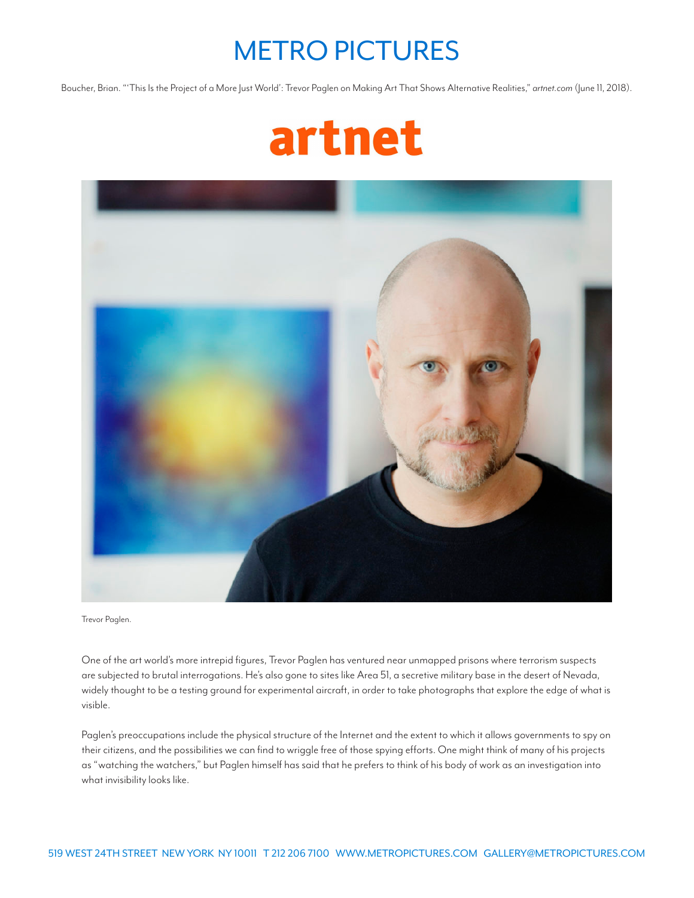## METRO PICTURES

Boucher, Brian. "'This Is the Project of a More Just World': Trevor Paglen on Making Art That Shows Alternative Realities," *artnet.com* (June 11, 2018).





Trevor Paglen.

One of the art world's more intrepid figures, Trevor Paglen has ventured near unmapped prisons where terrorism suspects are subjected to brutal interrogations. He's also gone to sites like Area 51, a secretive military base in the desert of Nevada, widely thought to be a testing ground for experimental aircraft, in order to take photographs that explore the edge of what is visible.

Paglen's preoccupations include the physical structure of the Internet and the extent to which it allows governments to spy on their citizens, and the possibilities we can find to wriggle free of those spying efforts. One might think of many of his projects as "watching the watchers," but Paglen himself has said that he prefers to think of his body of work as an investigation into what invisibility looks like.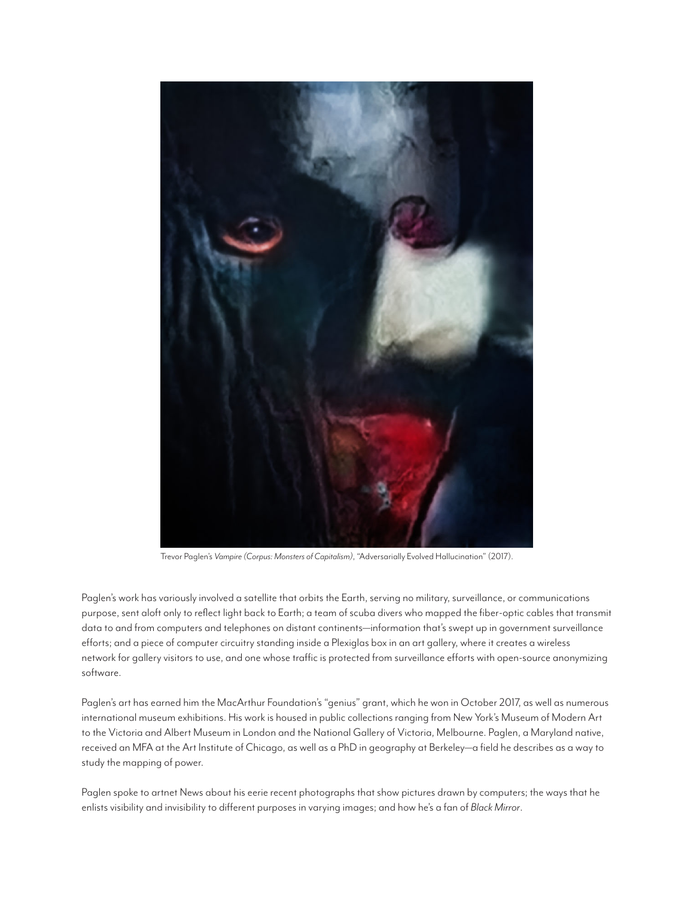

Trevor Paglen's *Vampire (Corpus: Monsters of Capitalism)*, "Adversarially Evolved Hallucination" (2017).

Paglen's work has variously involved a satellite that orbits the Earth, serving no military, surveillance, or communications purpose, sent aloft only to reflect light back to Earth; a team of scuba divers who mapped the fiber-optic cables that transmit data to and from computers and telephones on distant continents—information that's swept up in government surveillance efforts; and a piece of computer circuitry standing inside a Plexiglas box in an art gallery, where it creates a wireless network for gallery visitors to use, and one whose traffic is protected from surveillance efforts with open-source anonymizing software.

Paglen's art has earned him the MacArthur Foundation's "genius" grant, which he won in October 2017, as well as numerous international museum exhibitions. His work is housed in public collections ranging from New York's Museum of Modern Art to the Victoria and Albert Museum in London and the National Gallery of Victoria, Melbourne. Paglen, a Maryland native, received an MFA at the Art Institute of Chicago, as well as a PhD in geography at Berkeley—a field he describes as a way to study the mapping of power.

Paglen spoke to artnet News about his eerie recent photographs that show pictures drawn by computers; the ways that he enlists visibility and invisibility to different purposes in varying images; and how he's a fan of *Black Mirror*.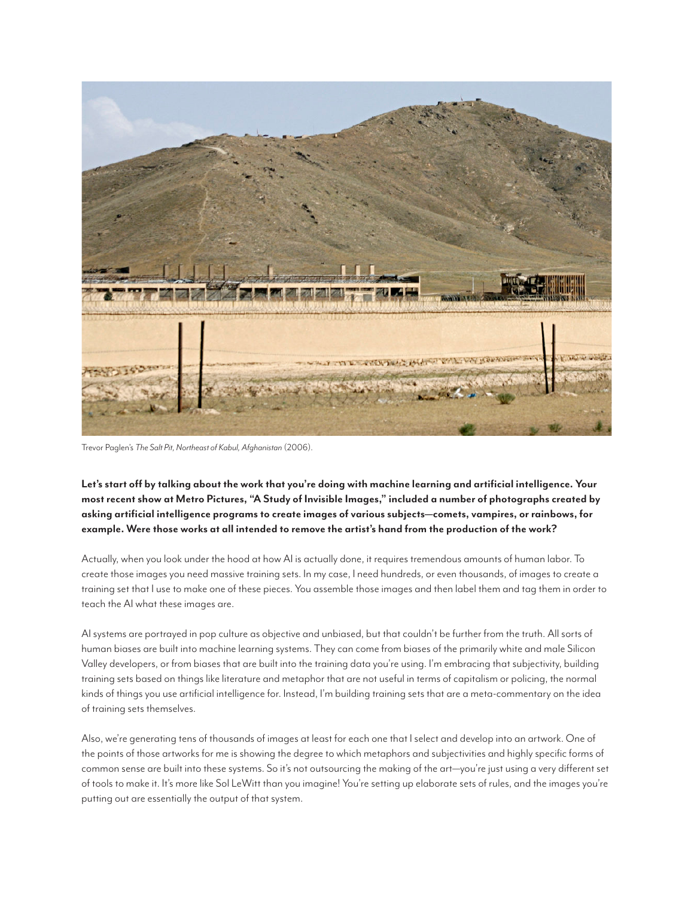

Trevor Paglen's *The Salt Pit, Northeast of Kabul, Afghanistan* (2006).

**Let's start off by talking about the work that you're doing with machine learning and artificial intelligence. Your most recent show at Metro Pictures, "A Study of Invisible Images," included a number of photographs created by asking artificial intelligence programs to create images of various subjects—comets, vampires, or rainbows, for example. Were those works at all intended to remove the artist's hand from the production of the work?**

Actually, when you look under the hood at how AI is actually done, it requires tremendous amounts of human labor. To create those images you need massive training sets. In my case, I need hundreds, or even thousands, of images to create a training set that I use to make one of these pieces. You assemble those images and then label them and tag them in order to teach the AI what these images are.

AI systems are portrayed in pop culture as objective and unbiased, but that couldn't be further from the truth. All sorts of human biases are built into machine learning systems. They can come from biases of the primarily white and male Silicon Valley developers, or from biases that are built into the training data you're using. I'm embracing that subjectivity, building training sets based on things like literature and metaphor that are not useful in terms of capitalism or policing, the normal kinds of things you use artificial intelligence for. Instead, I'm building training sets that are a meta-commentary on the idea of training sets themselves.

Also, we're generating tens of thousands of images at least for each one that I select and develop into an artwork. One of the points of those artworks for me is showing the degree to which metaphors and subjectivities and highly specific forms of common sense are built into these systems. So it's not outsourcing the making of the art—you're just using a very different set of tools to make it. It's more like Sol LeWitt than you imagine! You're setting up elaborate sets of rules, and the images you're putting out are essentially the output of that system.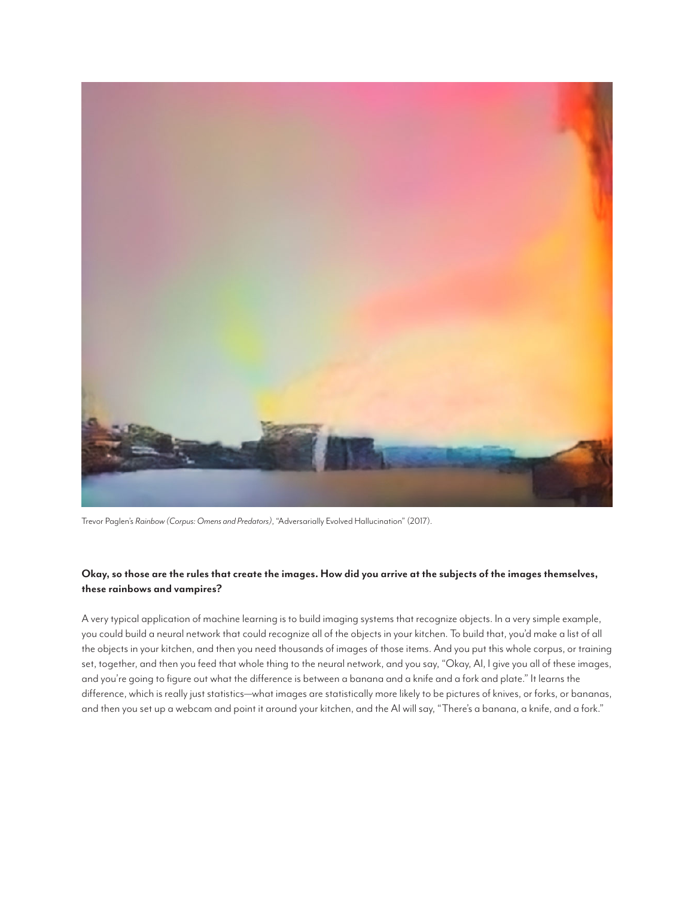

Trevor Paglen's *Rainbow (Corpus: Omens and Predators)*, "Adversarially Evolved Hallucination" (2017).

## **Okay, so those are the rules that create the images. How did you arrive at the subjects of the images themselves, these rainbows and vampires?**

A very typical application of machine learning is to build imaging systems that recognize objects. In a very simple example, you could build a neural network that could recognize all of the objects in your kitchen. To build that, you'd make a list of all the objects in your kitchen, and then you need thousands of images of those items. And you put this whole corpus, or training set, together, and then you feed that whole thing to the neural network, and you say, "Okay, AI, I give you all of these images, and you're going to figure out what the difference is between a banana and a knife and a fork and plate." It learns the difference, which is really just statistics—what images are statistically more likely to be pictures of knives, or forks, or bananas, and then you set up a webcam and point it around your kitchen, and the AI will say, "There's a banana, a knife, and a fork."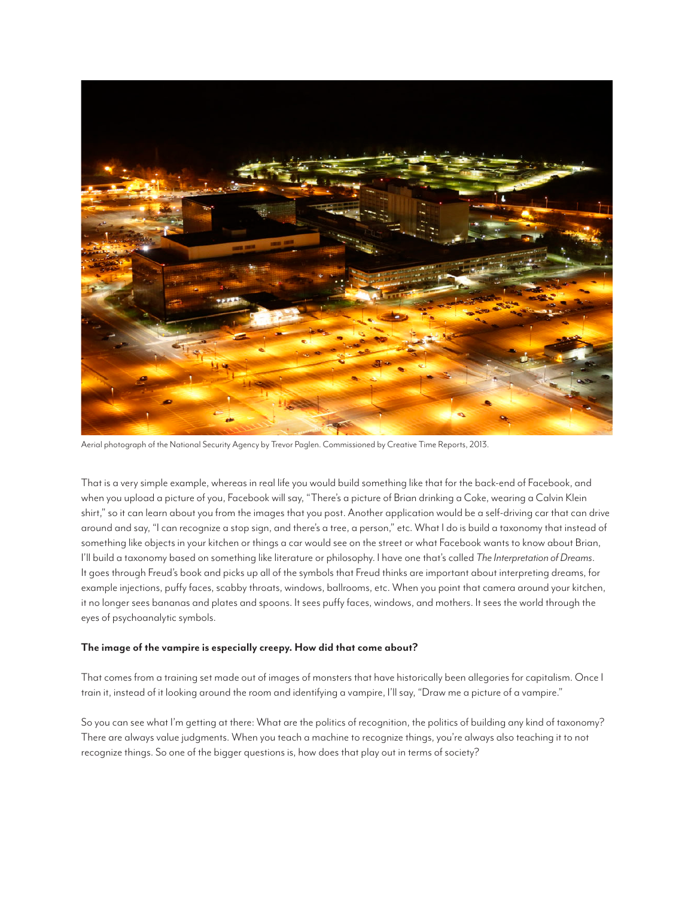

Aerial photograph of the National Security Agency by Trevor Paglen. Commissioned by Creative Time Reports, 2013.

That is a very simple example, whereas in real life you would build something like that for the back-end of Facebook, and when you upload a picture of you, Facebook will say, "There's a picture of Brian drinking a Coke, wearing a Calvin Klein shirt," so it can learn about you from the images that you post. Another application would be a self-driving car that can drive around and say, "I can recognize a stop sign, and there's a tree, a person," etc. What I do is build a taxonomy that instead of something like objects in your kitchen or things a car would see on the street or what Facebook wants to know about Brian, I'll build a taxonomy based on something like literature or philosophy. I have one that's called *The Interpretation of Dreams*. It goes through Freud's book and picks up all of the symbols that Freud thinks are important about interpreting dreams, for example injections, puffy faces, scabby throats, windows, ballrooms, etc. When you point that camera around your kitchen, it no longer sees bananas and plates and spoons. It sees puffy faces, windows, and mothers. It sees the world through the eyes of psychoanalytic symbols.

## **The image of the vampire is especially creepy. How did that come about?**

That comes from a training set made out of images of monsters that have historically been allegories for capitalism. Once I train it, instead of it looking around the room and identifying a vampire, I'll say, "Draw me a picture of a vampire."

So you can see what I'm getting at there: What are the politics of recognition, the politics of building any kind of taxonomy? There are always value judgments. When you teach a machine to recognize things, you're always also teaching it to not recognize things. So one of the bigger questions is, how does that play out in terms of society?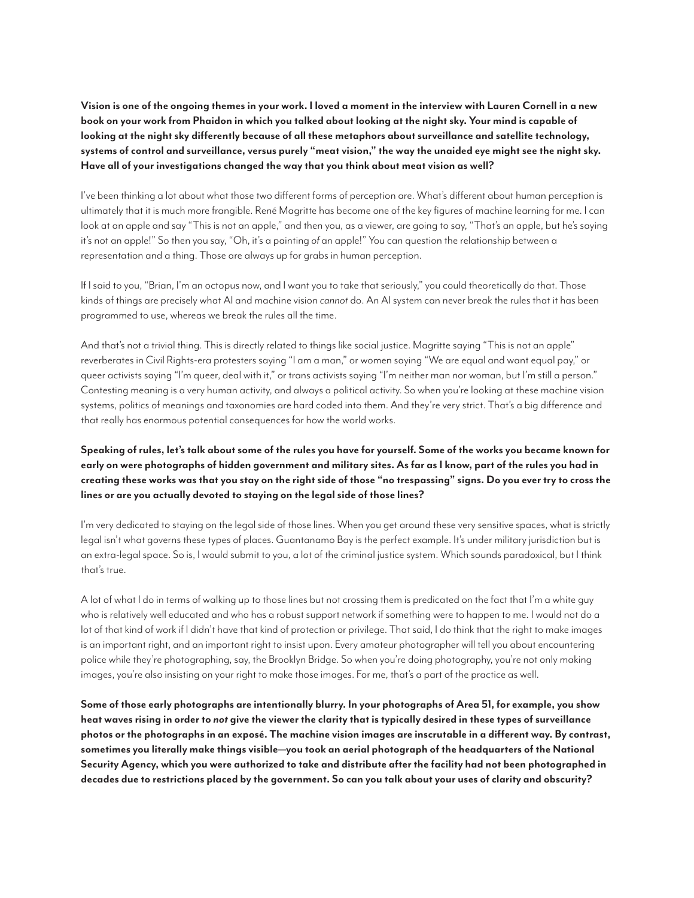**Vision is one of the ongoing themes in your work. I loved a moment in the interview with Lauren Cornell in a new book on your work from Phaidon in which you talked about looking at the night sky. Your mind is capable of looking at the night sky differently because of all these metaphors about surveillance and satellite technology, systems of control and surveillance, versus purely "meat vision," the way the unaided eye might see the night sky. Have all of your investigations changed the way that you think about meat vision as well?**

I've been thinking a lot about what those two different forms of perception are. What's different about human perception is ultimately that it is much more frangible. René Magritte has become one of the key figures of machine learning for me. I can look at an apple and say "This is not an apple," and then you, as a viewer, are going to say, "That's an apple, but he's saying it's not an apple!" So then you say, "Oh, it's a painting *of* an apple!" You can question the relationship between a representation and a thing. Those are always up for grabs in human perception.

If I said to you, "Brian, I'm an octopus now, and I want you to take that seriously," you could theoretically do that. Those kinds of things are precisely what AI and machine vision *cannot* do. An AI system can never break the rules that it has been programmed to use, whereas we break the rules all the time.

And that's not a trivial thing. This is directly related to things like social justice. Magritte saying "This is not an apple" reverberates in Civil Rights-era protesters saying "I am a man," or women saying "We are equal and want equal pay," or queer activists saying "I'm queer, deal with it," or trans activists saying "I'm neither man nor woman, but I'm still a person." Contesting meaning is a very human activity, and always a political activity. So when you're looking at these machine vision systems, politics of meanings and taxonomies are hard coded into them. And they're very strict. That's a big difference and that really has enormous potential consequences for how the world works.

## **Speaking of rules, let's talk about some of the rules you have for yourself. Some of the works you became known for early on were photographs of hidden government and military sites. As far as I know, part of the rules you had in creating these works was that you stay on the right side of those "no trespassing" signs. Do you ever try to cross the lines or are you actually devoted to staying on the legal side of those lines?**

I'm very dedicated to staying on the legal side of those lines. When you get around these very sensitive spaces, what is strictly legal isn't what governs these types of places. Guantanamo Bay is the perfect example. It's under military jurisdiction but is an extra-legal space. So is, I would submit to you, a lot of the criminal justice system. Which sounds paradoxical, but I think that's true.

A lot of what I do in terms of walking up to those lines but not crossing them is predicated on the fact that I'm a white guy who is relatively well educated and who has a robust support network if something were to happen to me. I would not do a lot of that kind of work if I didn't have that kind of protection or privilege. That said, I do think that the right to make images is an important right, and an important right to insist upon. Every amateur photographer will tell you about encountering police while they're photographing, say, the Brooklyn Bridge. So when you're doing photography, you're not only making images, you're also insisting on your right to make those images. For me, that's a part of the practice as well.

**Some of those early photographs are intentionally blurry. In your photographs of Area 51, for example, you show heat waves rising in order to** *not* **give the viewer the clarity that is typically desired in these types of surveillance photos or the photographs in an exposé. The machine vision images are inscrutable in a different way. By contrast, sometimes you literally make things visible—you took an aerial photograph of the headquarters of the National Security Agency, which you were authorized to take and distribute after the facility had not been photographed in decades due to restrictions placed by the government. So can you talk about your uses of clarity and obscurity?**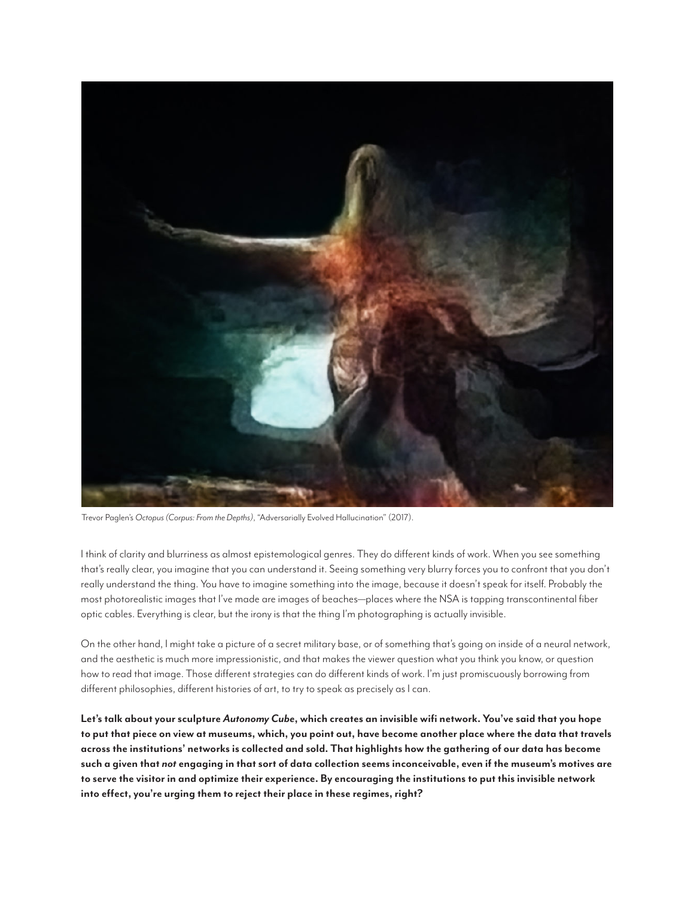

Trevor Paglen's *Octopus (Corpus: From the Depths)*, "Adversarially Evolved Hallucination" (2017).

I think of clarity and blurriness as almost epistemological genres. They do different kinds of work. When you see something that's really clear, you imagine that you can understand it. Seeing something very blurry forces you to confront that you don't really understand the thing. You have to imagine something into the image, because it doesn't speak for itself. Probably the most photorealistic images that I've made are images of beaches—places where the NSA is tapping transcontinental fiber optic cables. Everything is clear, but the irony is that the thing I'm photographing is actually invisible.

On the other hand, I might take a picture of a secret military base, or of something that's going on inside of a neural network, and the aesthetic is much more impressionistic, and that makes the viewer question what you think you know, or question how to read that image. Those different strategies can do different kinds of work. I'm just promiscuously borrowing from different philosophies, different histories of art, to try to speak as precisely as I can.

**Let's talk about your sculpture** *Autonomy Cube***, which creates an invisible wifi network. You've said that you hope to put that piece on view at museums, which, you point out, have become another place where the data that travels across the institutions' networks is collected and sold. That highlights how the gathering of our data has become such a given that** *not* **engaging in that sort of data collection seems inconceivable, even if the museum's motives are to serve the visitor in and optimize their experience. By encouraging the institutions to put this invisible network into effect, you're urging them to reject their place in these regimes, right?**